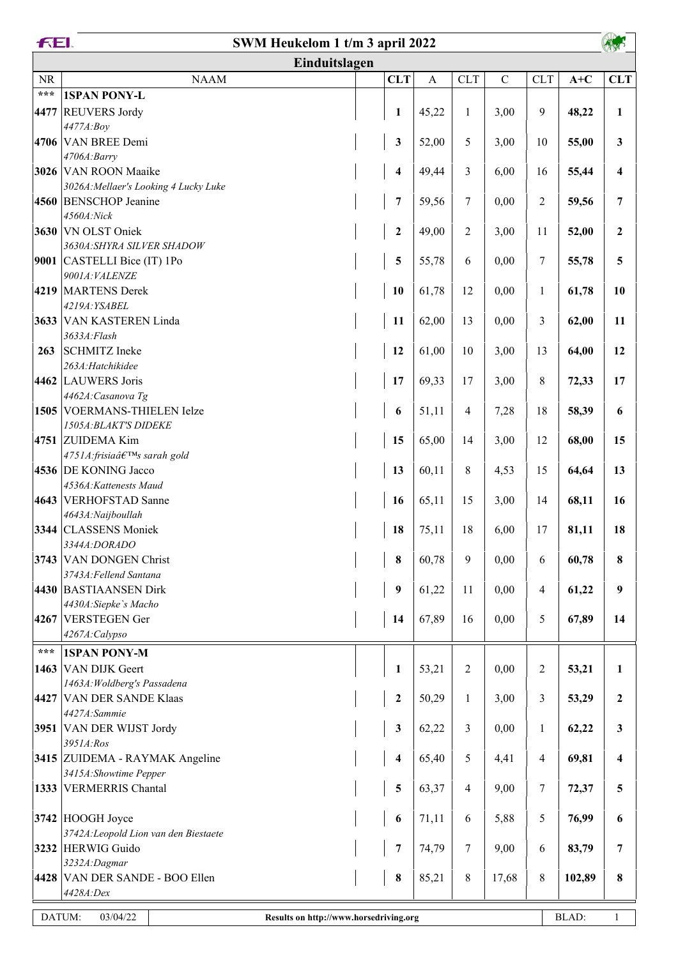| FEI.<br>SWM Heukelom 1 t/m 3 april 2022 |                                                               |  |                         |              |                |             |                |        |                |
|-----------------------------------------|---------------------------------------------------------------|--|-------------------------|--------------|----------------|-------------|----------------|--------|----------------|
|                                         | Einduitslagen                                                 |  |                         |              |                |             |                |        |                |
| <b>NR</b>                               | <b>NAAM</b>                                                   |  | <b>CLT</b>              | $\mathbf{A}$ | <b>CLT</b>     | $\mathbf C$ | <b>CLT</b>     | $A+C$  | <b>CLT</b>     |
| $\star\star\star$                       | <b>1SPAN PONY-L</b>                                           |  |                         |              |                |             |                |        |                |
| 4477                                    | <b>REUVERS Jordy</b>                                          |  | $\mathbf{1}$            | 45,22        | $\mathbf{1}$   | 3,00        | 9              | 48,22  | $\mathbf{1}$   |
|                                         | 4477A:Boy                                                     |  |                         |              |                |             |                |        |                |
|                                         | 4706 VAN BREE Demi                                            |  | 3                       | 52,00        | 5              | 3,00        | 10             | 55,00  | 3              |
|                                         | 4706A:Barry                                                   |  |                         |              |                |             |                |        |                |
|                                         | 3026 VAN ROON Maaike<br>3026A: Mellaer's Looking 4 Lucky Luke |  | 4                       | 49,44        | 3              | 6,00        | 16             | 55,44  | 4              |
|                                         | 4560 BENSCHOP Jeanine                                         |  | $\overline{7}$          | 59,56        | 7              | 0,00        | $\overline{2}$ | 59,56  | 7              |
|                                         | 4560A:Nick                                                    |  |                         |              |                |             |                |        |                |
|                                         | 3630 VN OLST Oniek                                            |  | $\boldsymbol{2}$        | 49,00        | $\overline{2}$ | 3,00        | 11             | 52,00  | $\overline{2}$ |
|                                         | 3630A: SHYRA SILVER SHADOW                                    |  |                         |              |                |             |                |        |                |
|                                         | 9001 CASTELLI Bice (IT) 1Po                                   |  | 5                       | 55,78        | 6              | 0,00        | 7              | 55,78  | 5              |
|                                         | 9001A: VALENZE                                                |  |                         |              |                |             |                |        |                |
| 4219                                    | MARTENS Derek                                                 |  | 10                      | 61,78        | 12             | 0,00        | $\mathbf{1}$   | 61,78  | 10             |
|                                         | 4219A: YSABEL                                                 |  |                         |              |                |             |                |        |                |
|                                         | 3633 VAN KASTEREN Linda<br>3633A:Flash                        |  | 11                      | 62,00        | 13             | 0,00        | $\overline{3}$ | 62,00  | 11             |
| 263                                     | <b>SCHMITZ</b> Ineke                                          |  | 12                      | 61,00        | 10             | 3,00        | 13             | 64,00  | 12             |
|                                         | 263A: Hatchikidee                                             |  |                         |              |                |             |                |        |                |
|                                         | 4462 LAUWERS Joris                                            |  | 17                      | 69,33        | 17             | 3,00        | $\,8\,$        | 72,33  | 17             |
|                                         | 4462A: Casanova Tg                                            |  |                         |              |                |             |                |        |                |
|                                         | 1505 VOERMANS-THIELEN Ielze                                   |  | 6                       | 51,11        | 4              | 7,28        | 18             | 58,39  | 6              |
|                                         | 1505A: BLAKT'S DIDEKE                                         |  |                         |              |                |             |                |        |                |
|                                         | 4751 ZUIDEMA Kim                                              |  | 15                      | 65,00        | 14             | 3,00        | 12             | 68,00  | 15             |
|                                         | 4751A:frisia's sarah gold                                     |  |                         |              |                |             |                |        |                |
|                                         | 4536 DE KONING Jacco<br>4536A: Kattenests Maud                |  | 13                      | 60,11        | 8              | 4,53        | 15             | 64,64  | 13             |
|                                         | 4643 VERHOFSTAD Sanne                                         |  | 16                      | 65,11        | 15             | 3,00        | 14             | 68,11  | 16             |
|                                         | 4643A: Naijboullah                                            |  |                         |              |                |             |                |        |                |
|                                         | 3344 CLASSENS Moniek                                          |  | 18                      | 75,11        | 18             | 6,00        | 17             | 81,11  | 18             |
|                                         | 3344A:DORADO                                                  |  |                         |              |                |             |                |        |                |
|                                         | 3743 VAN DONGEN Christ                                        |  | 8                       | 60,78        | 9              | 0,00        | 6              | 60,78  | 8              |
|                                         | 3743A: Fellend Santana                                        |  |                         |              |                |             |                |        |                |
|                                         | 4430 BASTIAANSEN Dirk                                         |  | $\boldsymbol{9}$        | 61,22        | 11             | 0,00        | $\overline{4}$ | 61,22  | 9              |
|                                         | 4430A: Siepke's Macho                                         |  |                         |              |                |             |                |        |                |
|                                         | 4267 VERSTEGEN Ger<br>4267A:Calypso                           |  | 14                      | 67,89        | 16             | 0,00        | $\mathfrak{H}$ | 67,89  | 14             |
| $\star\star\star$                       |                                                               |  |                         |              |                |             |                |        |                |
|                                         | <b>1SPAN PONY-M</b>                                           |  |                         |              |                |             |                |        |                |
|                                         | 1463 VAN DIJK Geert<br>1463A: Woldberg's Passadena            |  | $\mathbf{1}$            | 53,21        | $\overline{c}$ | 0,00        | $\overline{c}$ | 53,21  | 1              |
| 4427                                    | <b>VAN DER SANDE Klaas</b>                                    |  | $\boldsymbol{2}$        | 50,29        | $\mathbf{1}$   | 3,00        | 3              | 53,29  | 2              |
|                                         | 4427A:Sammie                                                  |  |                         |              |                |             |                |        |                |
|                                         | 3951 VAN DER WIJST Jordy                                      |  | $\mathbf{3}$            | 62,22        | 3              | 0,00        | $\mathbf{1}$   | 62,22  | 3              |
|                                         | 3951A:Ros                                                     |  |                         |              |                |             |                |        |                |
|                                         | 3415 ZUIDEMA - RAYMAK Angeline                                |  | $\overline{\mathbf{4}}$ | 65,40        | 5              | 4,41        | $\overline{4}$ | 69,81  | 4              |
|                                         | 3415A: Showtime Pepper                                        |  |                         |              |                |             |                |        |                |
|                                         | 1333 VERMERRIS Chantal                                        |  | 5                       | 63,37        | 4              | 9,00        | 7              | 72,37  | 5              |
|                                         | $3742$ HOOGH Joyce                                            |  | 6                       | 71,11        | 6              | 5,88        | 5              | 76,99  | 6              |
|                                         | 3742A: Leopold Lion van den Biestaete                         |  |                         |              |                |             |                |        |                |
|                                         | 3232 HERWIG Guido                                             |  | $\overline{7}$          | 74,79        | 7              | 9,00        | 6              | 83,79  | 7              |
|                                         | 3232A:Dagmar                                                  |  |                         |              |                |             |                |        |                |
|                                         | 4428 VAN DER SANDE - BOO Ellen                                |  | $\bf{8}$                | 85,21        | $8\,$          | 17,68       | $\,8\,$        | 102,89 | 8              |
|                                         | 4428A:Dex                                                     |  |                         |              |                |             |                |        |                |
|                                         | DATUM:<br>03/04/22<br>Results on http://www.horsedriving.org  |  |                         |              |                |             |                | BLAD:  | $\mathbf{1}$   |
|                                         |                                                               |  |                         |              |                |             |                |        |                |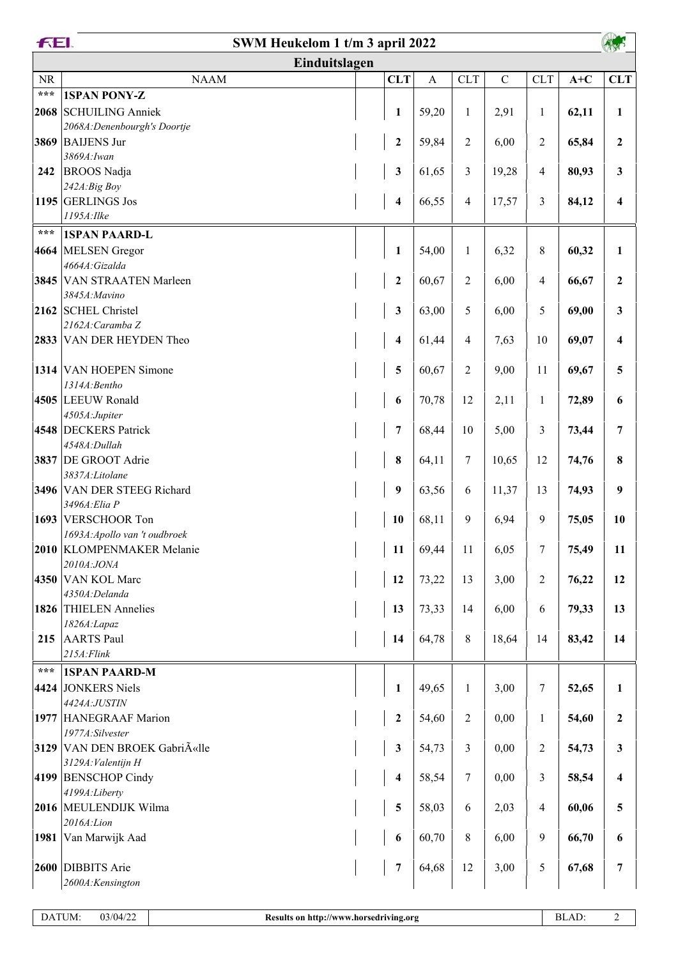| FEI.              | SWM Heukelom 1 t/m 3 april 2022         |                         |                |                |             |              |       |                  |
|-------------------|-----------------------------------------|-------------------------|----------------|----------------|-------------|--------------|-------|------------------|
|                   | Einduitslagen                           |                         |                |                |             |              |       |                  |
| $\rm NR$          | <b>NAAM</b>                             | <b>CLT</b>              | $\overline{A}$ | <b>CLT</b>     | $\mathbf C$ | <b>CLT</b>   | $A+C$ | <b>CLT</b>       |
| $\star\star\star$ | <b>1SPAN PONY-Z</b>                     |                         |                |                |             |              |       |                  |
|                   | 2068 SCHUILING Anniek                   | $\mathbf{1}$            | 59,20          | $\mathbf{1}$   | 2,91        | $\mathbf{1}$ | 62,11 | 1                |
|                   | 2068A: Denenbourgh's Doortje            |                         |                |                |             |              |       |                  |
| 3869              | <b>BAIJENS Jur</b>                      | $\boldsymbol{2}$        | 59,84          | $\overline{c}$ | 6,00        | 2            | 65,84 | $\overline{2}$   |
|                   | 3869A: Iwan                             |                         |                |                |             |              |       |                  |
| 242               | <b>BROOS</b> Nadja<br>242A:Big Boy      | $\mathbf{3}$            | 61,65          | 3              | 19,28       | 4            | 80,93 | 3                |
|                   | 1195 GERLINGS Jos                       | 4                       | 66,55          | 4              | 17,57       | 3            | 84,12 | 4                |
|                   | 1195A: Ilke                             |                         |                |                |             |              |       |                  |
| ***               | <b>1SPAN PAARD-L</b>                    |                         |                |                |             |              |       |                  |
| 4664              | MELSEN Gregor                           | $\mathbf{1}$            | 54,00          | $\mathbf{1}$   | 6,32        | 8            | 60,32 | 1                |
|                   | 4664A: Gizalda                          |                         |                |                |             |              |       |                  |
|                   | 3845 VAN STRAATEN Marleen               | $\boldsymbol{2}$        | 60,67          | $\overline{c}$ | 6,00        | 4            | 66,67 | 2                |
|                   | 3845A: Mavino                           |                         |                |                |             |              |       |                  |
|                   | 2162 SCHEL Christel<br>2162A: Caramba Z | $\mathbf{3}$            | 63,00          | 5              | 6,00        | 5            | 69,00 | 3                |
| 2833              | VAN DER HEYDEN Theo                     | $\overline{\mathbf{4}}$ | 61,44          | 4              | 7,63        | 10           | 69,07 | 4                |
|                   |                                         |                         |                |                |             |              |       |                  |
|                   | 1314 VAN HOEPEN Simone                  | 5                       | 60,67          | $\overline{c}$ | 9,00        | 11           | 69,67 | 5                |
|                   | 1314A: Bentho                           |                         |                |                |             |              |       |                  |
|                   | 4505 LEEUW Ronald                       | 6                       | 70,78          | 12             | 2,11        | 1            | 72,89 | 6                |
|                   | 4505A:Jupiter                           |                         |                |                |             |              |       |                  |
|                   | 4548 DECKERS Patrick                    | $\boldsymbol{7}$        | 68,44          | 10             | 5,00        | 3            | 73,44 | 7                |
|                   | 4548A:Dullah<br>3837 DE GROOT Adrie     | ${\bf 8}$               | 64,11          | 7              | 10,65       | 12           | 74,76 | 8                |
|                   | 3837A:Litolane                          |                         |                |                |             |              |       |                  |
|                   | 3496 VAN DER STEEG Richard              | $\boldsymbol{9}$        | 63,56          | 6              | 11,37       | 13           | 74,93 | 9                |
|                   | 3496A: Elia P                           |                         |                |                |             |              |       |                  |
|                   | 1693 VERSCHOOR Ton                      | 10                      | 68,11          | 9              | 6,94        | 9            | 75,05 | 10               |
|                   | 1693A: Apollo van 't oudbroek           |                         |                |                |             |              |       |                  |
|                   | 2010 KLOMPENMAKER Melanie<br>2010A:JONA | 11                      | 69,44          | 11             | 6,05        | 7            | 75,49 | 11               |
|                   | 4350 VAN KOL Marc                       | 12                      | 73,22          | 13             | 3,00        | 2            | 76,22 | 12               |
|                   | 4350A:Delanda                           |                         |                |                |             |              |       |                  |
|                   | 1826 THIELEN Annelies                   | 13                      | 73,33          | 14             | 6,00        | 6            | 79,33 | 13               |
|                   | 1826A:Lapaz                             |                         |                |                |             |              |       |                  |
| 215               | <b>AARTS</b> Paul                       | 14                      | 64,78          | 8              | 18,64       | 14           | 83,42 | 14               |
|                   | $215A$ : Flink                          |                         |                |                |             |              |       |                  |
| $***$             | <b>1SPAN PAARD-M</b>                    |                         |                |                |             |              |       |                  |
| 4424              | JONKERS Niels                           | $\mathbf{1}$            | 49,65          | $\mathbf{1}$   | 3,00        | 7            | 52,65 | 1                |
|                   | 4424A:JUSTIN<br>1977 HANEGRAAF Marion   | $\boldsymbol{2}$        | 54,60          | $\overline{c}$ | 0,00        | $\mathbf{1}$ | 54,60 | $\boldsymbol{2}$ |
|                   | 1977A:Silvester                         |                         |                |                |             |              |       |                  |
|                   | 3129 VAN DEN BROEK Gabriëlle            | $\mathbf{3}$            | 54,73          | 3              | 0,00        | 2            | 54,73 | 3                |
|                   | 3129A: Valentijn H                      |                         |                |                |             |              |       |                  |
|                   | 4199 BENSCHOP Cindy                     | $\overline{\mathbf{4}}$ | 58,54          | 7              | 0,00        | 3            | 58,54 | 4                |
|                   | 4199A:Liberty                           |                         |                |                |             |              |       |                  |
|                   | 2016 MEULENDIJK Wilma<br>2016A:Lion     | $\overline{\mathbf{5}}$ | 58,03          | 6              | 2,03        | 4            | 60,06 | 5                |
| 1981              | Van Marwijk Aad                         | 6                       | 60,70          | 8              | 6,00        | 9            | 66,70 | 6                |
|                   |                                         |                         |                |                |             |              |       |                  |
|                   | 2600 DIBBITS Arie                       | $\boldsymbol{7}$        | 64,68          | 12             | 3,00        | 5            | 67,68 | 7                |
|                   | 2600A: Kensington                       |                         |                |                |             |              |       |                  |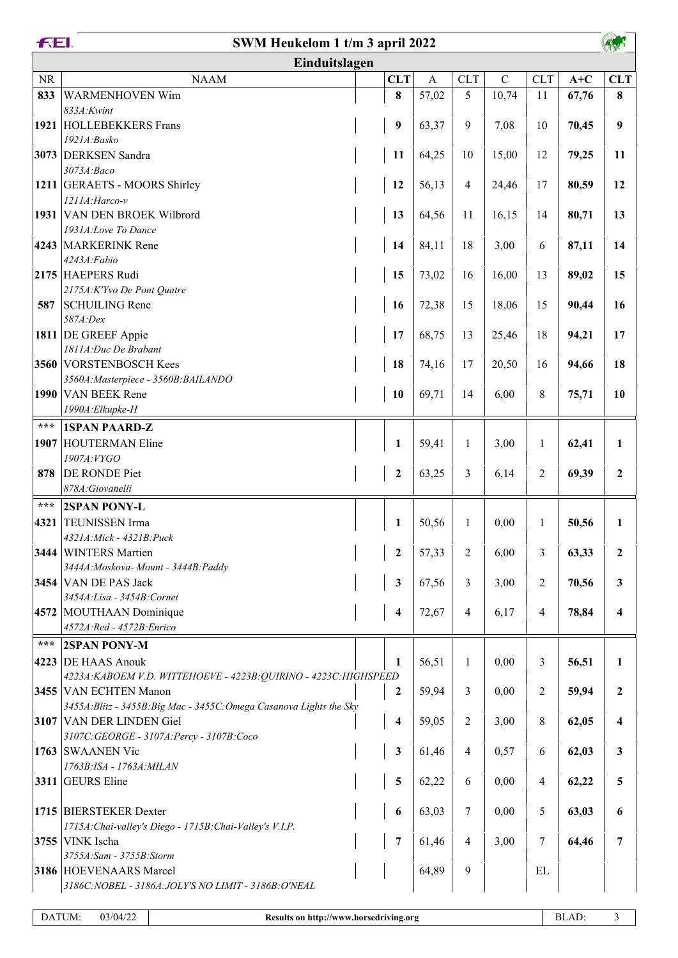|       | FEI.<br>SWM Heukelom 1 t/m 3 april 2022                                                    |  |                         |              |              |             |                |       |              |
|-------|--------------------------------------------------------------------------------------------|--|-------------------------|--------------|--------------|-------------|----------------|-------|--------------|
|       | Einduitslagen                                                                              |  |                         |              |              |             |                |       |              |
| NR    | <b>NAAM</b>                                                                                |  | <b>CLT</b>              | $\mathbf{A}$ | <b>CLT</b>   | $\mathbf C$ | <b>CLT</b>     | $A+C$ | <b>CLT</b>   |
| 833   | <b>WARMENHOVEN Wim</b>                                                                     |  | 8                       | 57,02        | 5            | 10,74       | 11             | 67,76 | 8            |
|       | 833A:Kwint                                                                                 |  |                         |              |              |             |                |       |              |
|       | 1921 HOLLEBEKKERS Frans                                                                    |  | $\boldsymbol{9}$        | 63,37        | 9            | 7,08        | 10             | 70,45 | 9            |
|       | 1921A:Basko                                                                                |  |                         |              |              |             |                |       |              |
|       | 3073 DERKSEN Sandra<br>3073A:Baco                                                          |  | 11                      | 64,25        | 10           | 15,00       | 12             | 79,25 | 11           |
|       | 1211 GERAETS - MOORS Shirley                                                               |  | 12                      | 56,13        | 4            | 24,46       | 17             | 80,59 | 12           |
|       | 1211A: Harco-v                                                                             |  |                         |              |              |             |                |       |              |
|       | 1931 VAN DEN BROEK Wilbrord                                                                |  | 13                      | 64,56        | 11           | 16,15       | 14             | 80,71 | 13           |
|       | 1931A:Love To Dance                                                                        |  |                         |              |              |             |                |       |              |
|       | 4243 MARKERINK Rene                                                                        |  | 14                      | 84,11        | 18           | 3,00        | 6              | 87,11 | 14           |
|       | 4243A:Fabio<br>2175 HAEPERS Rudi                                                           |  | 15                      | 73,02        | 16           | 16,00       | 13             | 89,02 | 15           |
|       | 2175A:K'Yvo De Pont Quatre                                                                 |  |                         |              |              |             |                |       |              |
| 587   | <b>SCHUILING Rene</b>                                                                      |  | 16                      | 72,38        | 15           | 18,06       | 15             | 90,44 | 16           |
|       | 587A:Dex                                                                                   |  |                         |              |              |             |                |       |              |
|       | 1811 DE GREEF Appie                                                                        |  | 17                      | 68,75        | 13           | 25,46       | 18             | 94,21 | 17           |
|       | 1811A:Duc De Brabant                                                                       |  |                         |              |              |             |                |       |              |
|       | 3560 VORSTENBOSCH Kees<br>3560A: Masterpiece - 3560B: BAILANDO                             |  | 18                      | 74,16        | 17           | 20,50       | 16             | 94,66 | 18           |
|       | 1990 VAN BEEK Rene                                                                         |  | 10                      | 69,71        | 14           | 6,00        | 8              | 75,71 | 10           |
|       | 1990A: Elkupke-H                                                                           |  |                         |              |              |             |                |       |              |
| $***$ | <b>1SPAN PAARD-Z</b>                                                                       |  |                         |              |              |             |                |       |              |
| 1907  | <b>HOUTERMAN Eline</b>                                                                     |  | $\mathbf{1}$            | 59,41        | $\mathbf{1}$ | 3,00        | 1              | 62,41 | 1            |
|       | 1907A: VYGO                                                                                |  |                         |              |              |             |                |       |              |
| 878   | DE RONDE Piet                                                                              |  | $\boldsymbol{2}$        | 63,25        | 3            | 6,14        | 2              | 69,39 | $\mathbf{2}$ |
|       | 878A: Giovanelli                                                                           |  |                         |              |              |             |                |       |              |
| $***$ | <b>2SPAN PONY-L</b>                                                                        |  |                         |              |              |             |                |       |              |
| 4321  | <b>TEUNISSEN</b> Irma                                                                      |  | $\mathbf{1}$            | 50,56        | $\mathbf{1}$ | 0,00        | $\mathbf{1}$   | 50,56 | 1            |
|       | 4321A: Mick - 4321B: Puck<br>3444 WINTERS Martien                                          |  | $\boldsymbol{2}$        | 57,33        | 2            | 6,00        | 3              | 63,33 | 2            |
|       | 3444A: Moskova- Mount - 3444B: Paddy                                                       |  |                         |              |              |             |                |       |              |
|       | 3454 VAN DE PAS Jack                                                                       |  | 3                       | 67,56        | 3            | 3,00        | 2              | 70,56 | 3            |
|       | 3454A:Lisa - 3454B: Cornet                                                                 |  |                         |              |              |             |                |       |              |
|       | 4572 MOUTHAAN Dominique                                                                    |  | 4                       | 72,67        | 4            | 6,17        | $\overline{4}$ | 78,84 | 4            |
|       | 4572A:Red - 4572B:Enrico                                                                   |  |                         |              |              |             |                |       |              |
| $***$ | 2SPAN PONY-M                                                                               |  |                         |              |              |             |                |       |              |
| 4223  | <b>DE HAAS Anouk</b>                                                                       |  | 1                       | 56,51        | 1            | 0,00        | 3              | 56,51 | 1            |
|       | 4223A: KABOEM V.D. WITTEHOEVE - 4223B: QUIRINO - 4223C: HIGHSPEED<br>3455 VAN ECHTEN Manon |  | 2                       | 59,94        | 3            | 0,00        | 2              | 59,94 | $\mathbf{2}$ |
|       | 3455A: Blitz - 3455B: Big Mac - 3455C: Omega Casanova Lights the Sky                       |  |                         |              |              |             |                |       |              |
|       | 3107 VAN DER LINDEN Giel                                                                   |  | $\overline{\mathbf{4}}$ | 59,05        | 2            | 3,00        | 8              | 62,05 | 4            |
|       | 3107C:GEORGE - 3107A:Percy - 3107B:Coco                                                    |  |                         |              |              |             |                |       |              |
|       | 1763 SWAANEN Vic                                                                           |  | $\mathbf{3}$            | 61,46        | 4            | 0,57        | 6              | 62,03 | 3            |
|       | 1763B:ISA - 1763A: MILAN<br>3311 GEURS Eline                                               |  |                         |              |              |             |                |       |              |
|       |                                                                                            |  | 5                       | 62,22        | 6            | 0,00        | 4              | 62,22 | 5            |
|       | 1715 BIERSTEKER Dexter                                                                     |  | 6                       | 63,03        | 7            | 0,00        | 5              | 63,03 | 6            |
|       | 1715A: Chai-valley's Diego - 1715B: Chai-Valley's V.I.P.                                   |  |                         |              |              |             |                |       |              |
|       | 3755 VINK Ischa                                                                            |  | $\overline{7}$          | 61,46        | 4            | 3,00        | 7              | 64,46 | 7            |
|       | 3755A:Sam - 3755B:Storm                                                                    |  |                         |              |              |             |                |       |              |
|       | 3186 HOEVENAARS Marcel                                                                     |  |                         | 64,89        | 9            |             | EL             |       |              |
|       | 3186C:NOBEL - 3186A:JOLY'S NO LIMIT - 3186B:O'NEAL                                         |  |                         |              |              |             |                |       |              |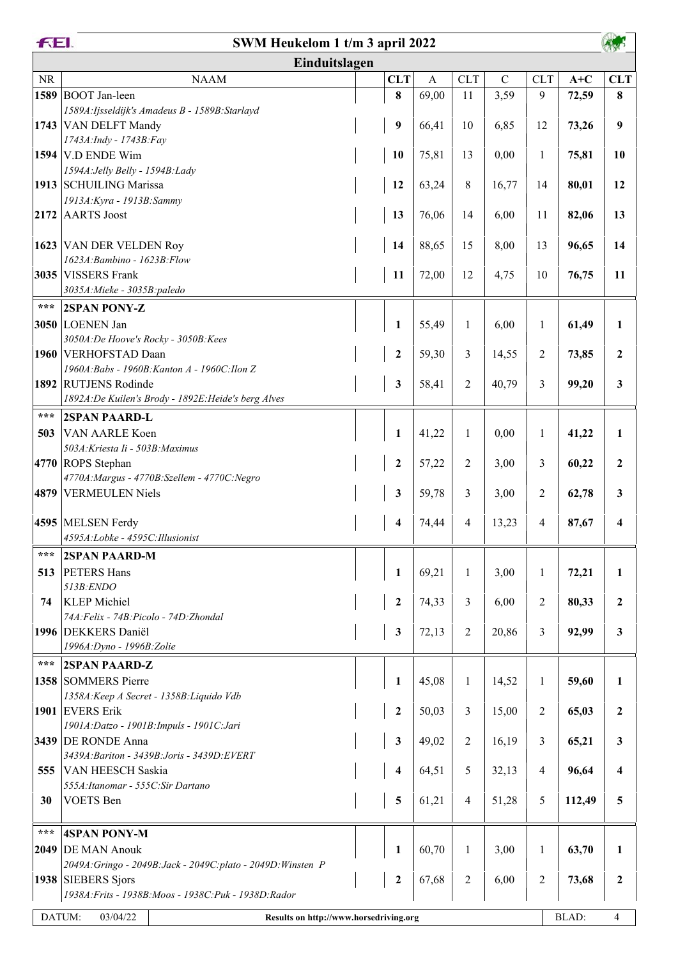|           | FEI.<br>SWM Heukelom 1 t/m 3 april 2022                                  |  |                  |              |              |              |              |        |                  |
|-----------|--------------------------------------------------------------------------|--|------------------|--------------|--------------|--------------|--------------|--------|------------------|
|           | Einduitslagen                                                            |  |                  |              |              |              |              |        |                  |
| <b>NR</b> | <b>NAAM</b>                                                              |  | <b>CLT</b>       | $\mathbf{A}$ | <b>CLT</b>   | $\mathsf{C}$ | <b>CLT</b>   | $A+C$  | <b>CLT</b>       |
| 1589      | <b>BOOT</b> Jan-leen                                                     |  | $\bf{8}$         | 69,00        | 11           | 3,59         | 9            | 72,59  | 8                |
|           | 1589A: Ijsseldijk's Amadeus B - 1589B: Starlayd                          |  |                  |              |              |              |              |        |                  |
|           | 1743 VAN DELFT Mandy                                                     |  | $\boldsymbol{9}$ | 66,41        | 10           | 6,85         | 12           | 73,26  | 9                |
|           | 1743A: Indy - 1743B: Fay                                                 |  |                  |              |              |              |              |        |                  |
|           | 1594 V.D ENDE Wim<br>1594A: Jelly Belly - 1594B: Lady                    |  | 10               | 75,81        | 13           | 0,00         | 1            | 75,81  | 10               |
|           | 1913 SCHUILING Marissa                                                   |  | 12               | 63,24        | 8            | 16,77        | 14           | 80,01  | 12               |
|           | 1913A: Kyra - 1913B: Sammy                                               |  |                  |              |              |              |              |        |                  |
| 2172      | <b>AARTS</b> Joost                                                       |  | 13               | 76,06        | 14           | 6,00         | 11           | 82,06  | 13               |
|           |                                                                          |  |                  |              |              |              |              |        |                  |
|           | 1623 VAN DER VELDEN Roy                                                  |  | 14               | 88,65        | 15           | 8,00         | 13           | 96,65  | 14               |
|           | 1623A: Bambino - 1623B: Flow                                             |  |                  |              |              |              |              |        |                  |
|           | 3035 VISSERS Frank<br>3035A: Mieke - 3035B: paledo                       |  | 11               | 72,00        | 12           | 4,75         | 10           | 76,75  | 11               |
| ***       | <b>2SPAN PONY-Z</b>                                                      |  |                  |              |              |              |              |        |                  |
|           | 3050 LOENEN Jan                                                          |  | $\mathbf{1}$     | 55,49        | $\mathbf{1}$ | 6,00         | 1            | 61,49  | 1                |
|           | 3050A:De Hoove's Rocky - 3050B:Kees                                      |  |                  |              |              |              |              |        |                  |
|           | 1960 VERHOFSTAD Daan                                                     |  | $\boldsymbol{2}$ | 59,30        | 3            | 14,55        | 2            | 73,85  | $\overline{2}$   |
|           | 1960A:Babs - 1960B:Kanton A - 1960C:Ilon Z                               |  |                  |              |              |              |              |        |                  |
|           | 1892 RUTJENS Rodinde                                                     |  | $\mathbf{3}$     | 58,41        | 2            | 40,79        | 3            | 99,20  | 3                |
|           | 1892A:De Kuilen's Brody - 1892E:Heide's berg Alves                       |  |                  |              |              |              |              |        |                  |
| ***       | <b>2SPAN PAARD-L</b>                                                     |  |                  |              |              |              |              |        |                  |
| 503       | VAN AARLE Koen                                                           |  | $\mathbf{1}$     | 41,22        | $\mathbf{1}$ | 0,00         | $\mathbf{1}$ | 41,22  | 1                |
|           | 503A: Kriesta Ii - 503B: Maximus<br>4770 ROPS Stephan                    |  |                  |              |              |              | 3            |        | $\overline{2}$   |
|           | 4770A: Margus - 4770B: Szellem - 4770C: Negro                            |  | $\boldsymbol{2}$ | 57,22        | 2            | 3,00         |              | 60,22  |                  |
|           | 4879 VERMEULEN Niels                                                     |  | $\mathbf{3}$     | 59,78        | 3            | 3,00         | 2            | 62,78  | 3                |
|           |                                                                          |  |                  |              |              |              |              |        |                  |
|           | 4595 MELSEN Ferdy                                                        |  | 4                | 74,44        | 4            | 13,23        | 4            | 87,67  | 4                |
|           | 4595A:Lobke - 4595C:Illusionist                                          |  |                  |              |              |              |              |        |                  |
| ***       | <b>2SPAN PAARD-M</b>                                                     |  |                  |              |              |              |              |        |                  |
| 513       | <b>PETERS Hans</b>                                                       |  | $\mathbf{1}$     | 69,21        | $\mathbf{1}$ | 3,00         | 1            | 72,21  | 1                |
|           | 513B:ENDO                                                                |  |                  |              |              |              |              |        |                  |
| 74        | <b>KLEP</b> Michiel<br>74A: Felix - 74B: Picolo - 74D: Zhondal           |  | $\boldsymbol{2}$ | 74,33        | 3            | 6,00         | 2            | 80,33  | $\mathbf{2}$     |
|           | 1996   DEKKERS Daniël                                                    |  | $\mathbf{3}$     | 72,13        | 2            | 20,86        | 3            | 92,99  | 3                |
|           | 1996A: Dyno - 1996B: Zolie                                               |  |                  |              |              |              |              |        |                  |
| ***       | <b>2SPAN PAARD-Z</b>                                                     |  |                  |              |              |              |              |        |                  |
|           | 1358 SOMMERS Pierre                                                      |  | $\mathbf{1}$     | 45,08        | 1            | 14,52        | $\mathbf{1}$ | 59,60  | 1                |
|           | 1358A: Keep A Secret - 1358B: Liquido Vdb                                |  |                  |              |              |              |              |        |                  |
|           | 1901 EVERS Erik                                                          |  | $\boldsymbol{2}$ | 50,03        | 3            | 15,00        | 2            | 65,03  | $\mathbf{2}$     |
|           | 1901A:Datzo - 1901B:Impuls - 1901C:Jari                                  |  |                  |              |              |              |              |        |                  |
|           | 3439 DE RONDE Anna                                                       |  | $\mathbf{3}$     | 49,02        | 2            | 16,19        | 3            | 65,21  | 3                |
| 555       | 3439A: Bariton - 3439B: Joris - 3439D: EVERT<br><b>VAN HEESCH Saskia</b> |  | 4                | 64,51        | 5            | 32,13        | 4            | 96,64  | 4                |
|           | 555A: Itanomar - 555C: Sir Dartano                                       |  |                  |              |              |              |              |        |                  |
| 30        | <b>VOETS</b> Ben                                                         |  | 5                | 61,21        | 4            | 51,28        | 5            | 112,49 | 5                |
|           |                                                                          |  |                  |              |              |              |              |        |                  |
| ***       | <b>4SPAN PONY-M</b>                                                      |  |                  |              |              |              |              |        |                  |
|           | 2049 DE MAN Anouk                                                        |  | $\mathbf{1}$     | 60,70        | 1            | 3,00         | 1            | 63,70  | 1                |
|           | 2049A: Gringo - 2049B: Jack - 2049C: plato - 2049D: Winsten P            |  |                  |              |              |              |              |        |                  |
|           | 1938 SIEBERS Sjors                                                       |  | $\boldsymbol{2}$ | 67,68        | 2            | 6,00         | 2            | 73,68  | $\boldsymbol{2}$ |
|           | 1938A: Frits - 1938B: Moos - 1938C: Puk - 1938D: Rador                   |  |                  |              |              |              |              |        |                  |
|           | DATUM:<br>03/04/22<br>Results on http://www.horsedriving.org             |  |                  |              |              |              |              | BLAD:  | 4                |